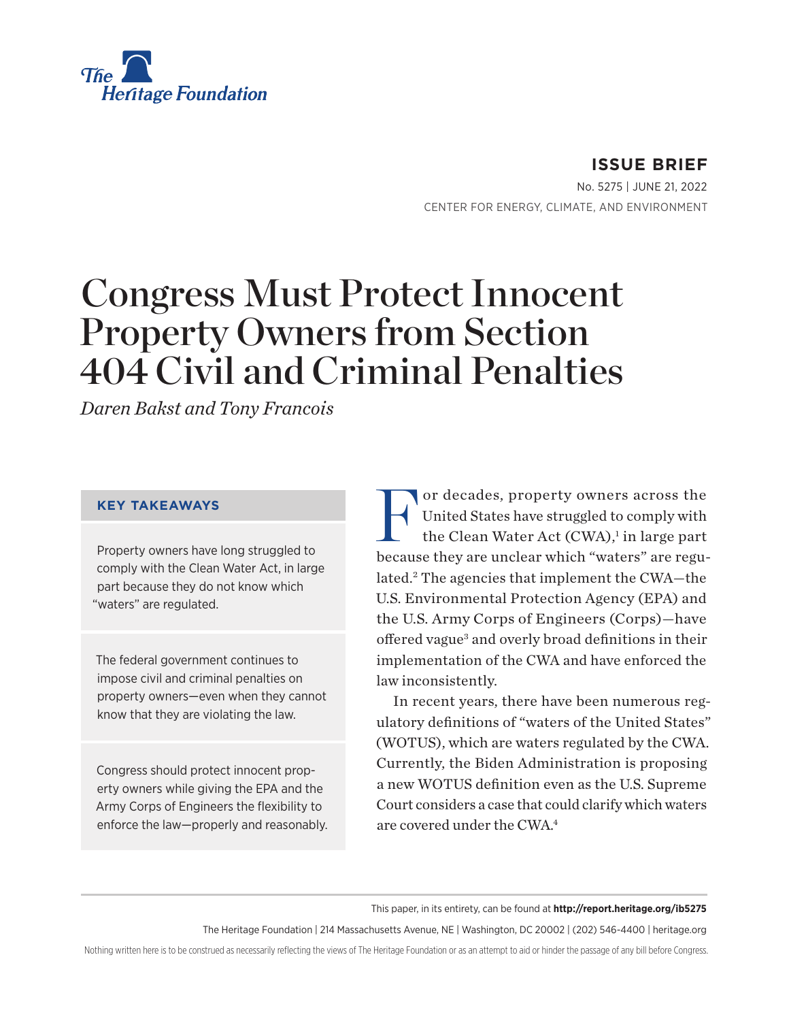<span id="page-0-0"></span>

**ISSUE BRIEF** No. 5275 | June 21, 2022 CENTER FOR ENERGY, CLIMATE, AND ENVIRONMENT

# Congress Must Protect Innocent Property Owners from Section 404 Civil and Criminal Penalties

*Daren Bakst and Tony Francois*

#### **KEY TAKEAWAYS**

Property owners have long struggled to comply with the Clean Water Act, in large part because they do not know which "waters" are regulated.

The federal government continues to impose civil and criminal penalties on property owners—even when they cannot know that they are violating the law.

Congress should protect innocent property owners while giving the EPA and the Army Corps of Engineers the flexibility to enforce the law—properly and reasonably. For decades, property owners across the<br>United States have struggled to comply with<br>the Clean Water Act (CWA),<sup>1</sup> in large part United States have struggled to comply with the Clean Water Act (CWA),<sup>[1](#page-5-0)</sup> in large part because they are unclear which "waters" are regulated.[2](#page-5-0) The agencies that implement the CWA—the U.S. Environmental Protection Agency (EPA) and the U.S. Army Corps of Engineers (Corps)—have offered vague<sup>3</sup> and overly broad definitions in their implementation of the CWA and have enforced the law inconsistently.

In recent years, there have been numerous regulatory definitions of "waters of the United States" (WOTUS), which are waters regulated by the CWA. Currently, the Biden Administration is proposing a new WOTUS definition even as the U.S. Supreme Court considers a case that could clarify which waters are covered under the CWA[.4](#page-5-0)

This paper, in its entirety, can be found at **http://report.heritage.org/ib5275**

The Heritage Foundation | 214 Massachusetts Avenue, NE | Washington, DC 20002 | (202) 546-4400 | [heritage.org](http://www.heritage.org)

Nothing written here is to be construed as necessarily reflecting the views of The Heritage Foundation or as an attempt to aid or hinder the passage of any bill before Congress.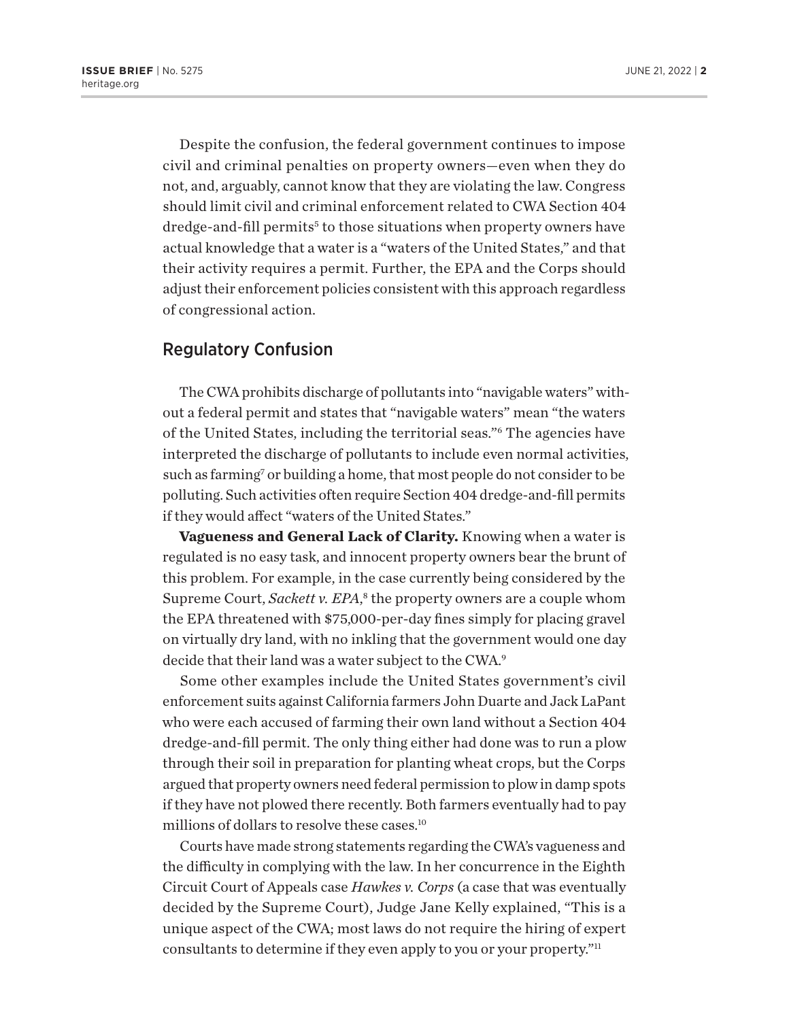<span id="page-1-0"></span>Despite the confusion, the federal government continues to impose civil and criminal penalties on property owners—even when they do not, and, arguably, cannot know that they are violating the law. Congress should limit civil and criminal enforcement related to CWA Section 404 dredge-and-fill permits<sup>[5](#page-5-0)</sup> to those situations when property owners have actual knowledge that a water is a "waters of the United States," and that their activity requires a permit. Further, the EPA and the Corps should adjust their enforcement policies consistent with this approach regardless of congressional action.

## Regulatory Confusion

The CWA prohibits discharge of pollutants into "navigable waters" without a federal permit and states that "navigable waters" mean "the waters of the United States, including the territorial seas.["6](#page-5-0) The agencies have interpreted the discharge of pollutants to include even normal activities, such as farming<sup>7</sup> or building a home, that most people do not consider to be polluting. Such activities often require Section 404 dredge-and-fill permits if they would affect "waters of the United States."

**Vagueness and General Lack of Clarity.** Knowing when a water is regulated is no easy task, and innocent property owners bear the brunt of this problem. For example, in the case currently being considered by the Supreme Court, Sackett v. EPA,<sup>[8](#page-5-0)</sup> the property owners are a couple whom the EPA threatened with \$75,000-per-day fines simply for placing gravel on virtually dry land, with no inkling that the government would one day decide that their land was a water subject to the CWA.<sup>9</sup>

Some other examples include the United States government's civil enforcement suits against California farmers John Duarte and Jack LaPant who were each accused of farming their own land without a Section 404 dredge-and-fill permit. The only thing either had done was to run a plow through their soil in preparation for planting wheat crops, but the Corps argued that property owners need federal permission to plow in damp spots if they have not plowed there recently. Both farmers eventually had to pay millions of dollars to resolve these cases[.10](#page-5-0)

Courts have made strong statements regarding the CWA's vagueness and the difficulty in complying with the law. In her concurrence in the Eighth Circuit Court of Appeals case *Hawkes v. Corps* (a case that was eventually decided by the Supreme Court), Judge Jane Kelly explained, "This is a unique aspect of the CWA; most laws do not require the hiring of expert consultants to determine if they even apply to you or your property."<sup>11</sup>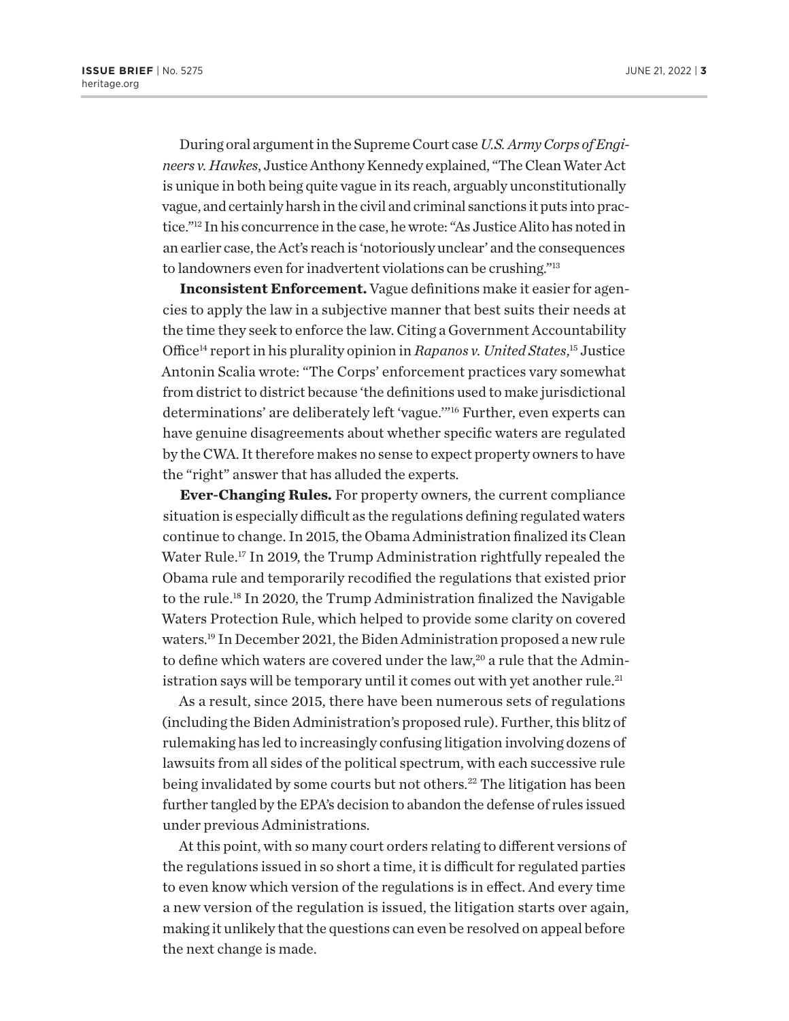<span id="page-2-0"></span>During oral argument in the Supreme Court case *U.S. Army Corps of Engineers v. Hawkes*, Justice Anthony Kennedy explained, "The Clean Water Act is unique in both being quite vague in its reach, arguably unconstitutionally vague, and certainly harsh in the civil and criminal sanctions it puts into practice."[12](#page-5-0) In his concurrence in the case, he wrote: "As Justice Alito has noted in an earlier case, the Act's reach is 'notoriously unclear' and the consequences to landowners even for inadvertent violations can be crushing."[13](#page-5-0)

**Inconsistent Enforcement.** Vague definitions make it easier for agencies to apply the law in a subjective manner that best suits their needs at the time they seek to enforce the law. Citing a Government Accountability Office[14](#page-5-0) report in his plurality opinion in *Rapanos v. United States*, [15](#page-5-0) Justice Antonin Scalia wrote: "The Corps' enforcement practices vary somewhat from district to district because 'the definitions used to make jurisdictional determinations' are deliberately left 'vague.'"[16](#page-5-0) Further, even experts can have genuine disagreements about whether specific waters are regulated by the CWA. It therefore makes no sense to expect property owners to have the "right" answer that has alluded the experts.

**Ever-Changing Rules.** For property owners, the current compliance situation is especially difficult as the regulations defining regulated waters continue to change. In 2015, the Obama Administration finalized its Clean Water Rule.<sup>[17](#page-5-0)</sup> In 2019, the Trump Administration rightfully repealed the Obama rule and temporarily recodified the regulations that existed prior to the rule.[18](#page-5-0) In 2020, the Trump Administration finalized the Navigable Waters Protection Rule, which helped to provide some clarity on covered waters.[19](#page-5-0) In December 2021, the Biden Administration proposed a new rule to define which waters are covered under the law,<sup>20</sup> a rule that the Administration says will be temporary until it comes out with yet another rule.<sup>21</sup>

As a result, since 2015, there have been numerous sets of regulations (including the Biden Administration's proposed rule). Further, this blitz of rulemaking has led to increasingly confusing litigation involving dozens of lawsuits from all sides of the political spectrum, with each successive rule being invalidated by some courts but not others.<sup>[22](#page-6-0)</sup> The litigation has been further tangled by the EPA's decision to abandon the defense of rules issued under previous Administrations.

At this point, with so many court orders relating to different versions of the regulations issued in so short a time, it is difficult for regulated parties to even know which version of the regulations is in effect. And every time a new version of the regulation is issued, the litigation starts over again, making it unlikely that the questions can even be resolved on appeal before the next change is made.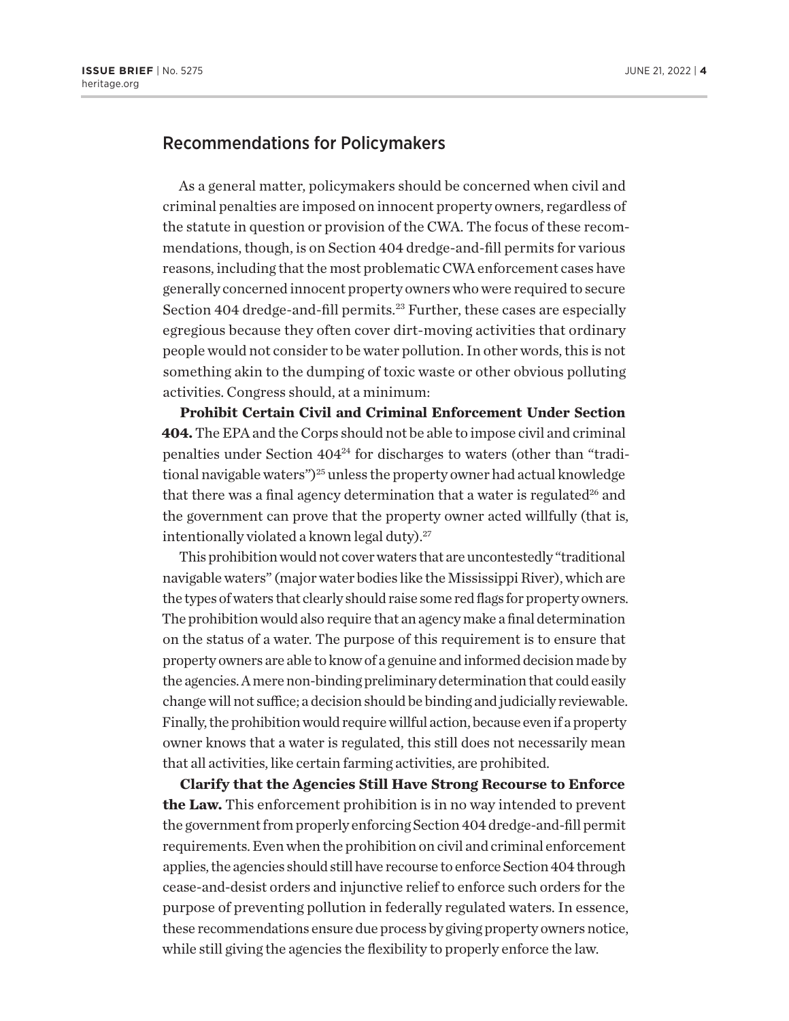#### <span id="page-3-0"></span>Recommendations for Policymakers

As a general matter, policymakers should be concerned when civil and criminal penalties are imposed on innocent property owners, regardless of the statute in question or provision of the CWA. The focus of these recommendations, though, is on Section 404 dredge-and-fill permits for various reasons, including that the most problematic CWA enforcement cases have generally concerned innocent property owners who were required to secure Section 404 dredge-and-fill permits.<sup>[23](#page-6-0)</sup> Further, these cases are especially egregious because they often cover dirt-moving activities that ordinary people would not consider to be water pollution. In other words, this is not something akin to the dumping of toxic waste or other obvious polluting activities. Congress should, at a minimum:

**Prohibit Certain Civil and Criminal Enforcement Under Section 404.** The EPA and the Corps should not be able to impose civil and criminal penalties under Section 40[424](#page-6-0) for discharges to waters (other than "traditional navigable waters")<sup>25</sup> unless the property owner had actual knowledge that there was a final agency determination that a water is regulated<sup>26</sup> and the government can prove that the property owner acted willfully (that is, intentionally violated a known legal duty).<sup>27</sup>

This prohibition would not cover waters that are uncontestedly "traditional navigable waters" (major water bodies like the Mississippi River), which are the types of waters that clearly should raise some red flags for property owners. The prohibition would also require that an agency make a final determination on the status of a water. The purpose of this requirement is to ensure that property owners are able to know of a genuine and informed decision made by the agencies. A mere non-binding preliminary determination that could easily change will not suffice; a decision should be binding and judicially reviewable. Finally, the prohibition would require willful action, because even if a property owner knows that a water is regulated, this still does not necessarily mean that all activities, like certain farming activities, are prohibited.

**Clarify that the Agencies Still Have Strong Recourse to Enforce the Law.** This enforcement prohibition is in no way intended to prevent the government from properly enforcing Section 404 dredge-and-fill permit requirements. Even when the prohibition on civil and criminal enforcement applies, the agencies should still have recourse to enforce Section 404 through cease-and-desist orders and injunctive relief to enforce such orders for the purpose of preventing pollution in federally regulated waters. In essence, these recommendations ensure due process by giving property owners notice, while still giving the agencies the flexibility to properly enforce the law.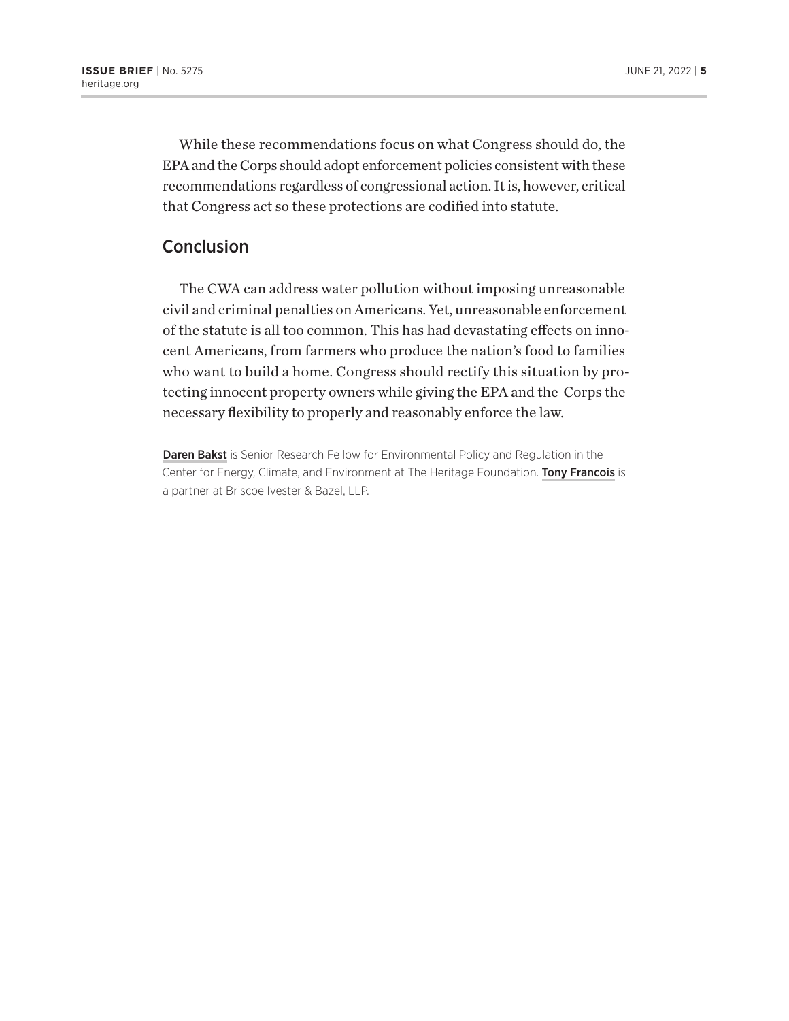While these recommendations focus on what Congress should do, the EPA and the Corps should adopt enforcement policies consistent with these recommendations regardless of congressional action. It is, however, critical that Congress act so these protections are codified into statute.

### **Conclusion**

The CWA can address water pollution without imposing unreasonable civil and criminal penalties on Americans. Yet, unreasonable enforcement of the statute is all too common. This has had devastating effects on innocent Americans, from farmers who produce the nation's food to families who want to build a home. Congress should rectify this situation by protecting innocent property owners while giving the EPA and the Corps the necessary flexibility to properly and reasonably enforce the law.

Daren Bakst is Senior Research Fellow for Environmental Policy and Regulation in the Center for Energy, Climate, and Environment at The Heritage Foundation. Tony Francois is a partner at Briscoe Ivester & Bazel, LLP.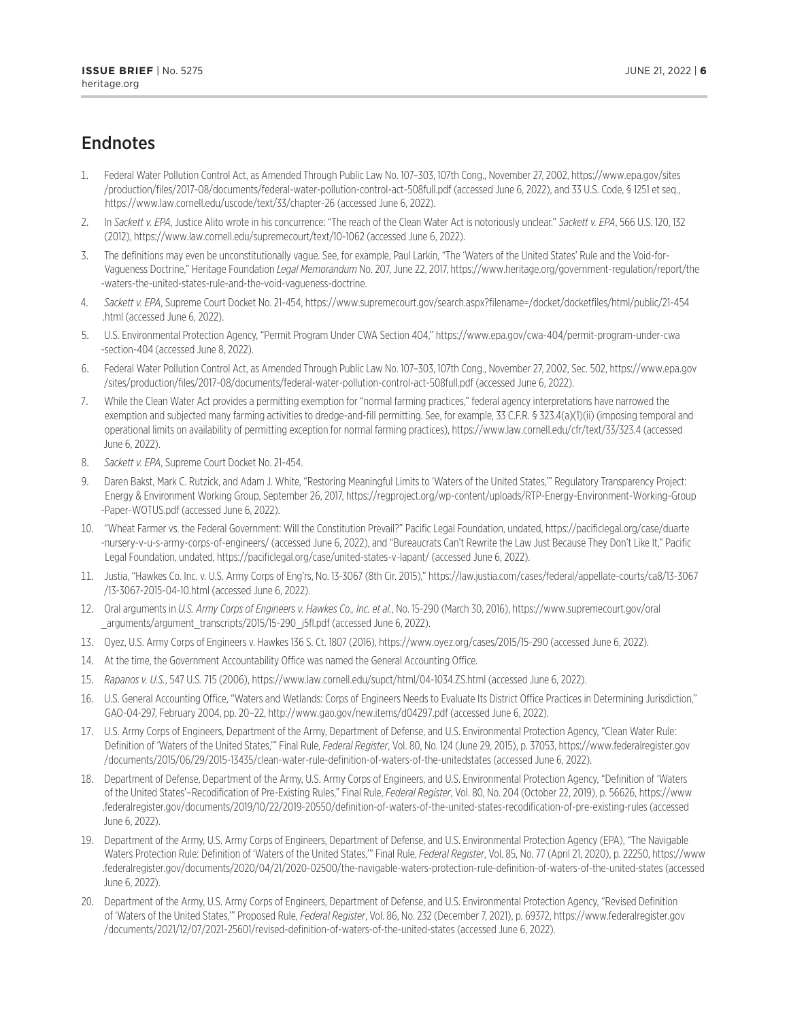## <span id="page-5-0"></span>Endnotes

- [1.](#page-0-0) Federal Water Pollution Control Act, as Amended Through Public Law No. 107–303, 107th Cong., November 27, 2002, [https://www.epa.gov/sites](https://www.epa.gov/sites/production/files/2017-08/documents/federal-water-pollution-control-act-508full.pdf) [/production/files/2017-08/documents/federal-water-pollution-control-act-508full.pdf](https://www.epa.gov/sites/production/files/2017-08/documents/federal-water-pollution-control-act-508full.pdf) (accessed June 6, 2022), and 33 U.S. Code, § 1251 et seq., <https://www.law.cornell.edu/uscode/text/33/chapter-26> (accessed June 6, 2022).
- [2](#page-0-0). In *Sackett v. EPA*, Justice Alito wrote in his concurrence: "The reach of the Clean Water Act is notoriously unclear." *Sackett v. EPA*, 566 U.S. 120, 132 (2012),<https://www.law.cornell.edu/supremecourt/text/10-1062> (accessed June 6, 2022).
- [3.](#page-0-0) The definitions may even be unconstitutionally vague. See, for example, Paul Larkin, "The 'Waters of the United States' Rule and the Void-for-Vagueness Doctrine," Heritage Foundation *Legal Memorandum* No. 207, June 22, 2017, [https://www.heritage.org/government-regulation/report/the](https://www.heritage.org/government-regulation/report/the-waters-the-united-states-rule-and-the-void-vagueness-doctrine) [-waters-the-united-states-rule-and-the-void-vagueness-doctrine](https://www.heritage.org/government-regulation/report/the-waters-the-united-states-rule-and-the-void-vagueness-doctrine).
- [4.](#page-0-0) *Sackett v. EPA*, Supreme Court Docket No. 21-454, [https://www.supremecourt.gov/search.aspx?filename=/docket/docketfiles/html/public/21-454](https://www.supremecourt.gov/search.aspx?filename=/docket/docketfiles/html/public/21-454.html) [.html](https://www.supremecourt.gov/search.aspx?filename=/docket/docketfiles/html/public/21-454.html) (accessed June 6, 2022).
- [5](#page-1-0). U.S. Environmental Protection Agency, "Permit Program Under CWA Section 404," [https://www.epa.gov/cwa-404/permit-program-under-cwa](https://www.epa.gov/cwa-404/permit-program-under-cwa-section-404) [-section-404](https://www.epa.gov/cwa-404/permit-program-under-cwa-section-404) (accessed June 8, 2022).
- [6](#page-1-0). Federal Water Pollution Control Act, as Amended Through Public Law No. 107–303, 107th Cong., November 27, 2002, Sec. 502, [https://www.epa.gov](https://www.epa.gov/sites/production/files/2017-08/documents/federal-water-pollution-control-act-508full.pdf) [/sites/production/files/2017-08/documents/federal-water-pollution-control-act-508full.pdf](https://www.epa.gov/sites/production/files/2017-08/documents/federal-water-pollution-control-act-508full.pdf) (accessed June 6, 2022).
- [7.](#page-1-0) While the Clean Water Act provides a permitting exemption for "normal farming practices," federal agency interpretations have narrowed the exemption and subjected many farming activities to dredge-and-fill permitting. See, for example, 33 C.F.R. § 323.4(a)(1)(ii) (imposing temporal and operational limits on availability of permitting exception for normal farming practices), <https://www.law.cornell.edu/cfr/text/33/323.4>(accessed June 6, 2022).
- [8](#page-1-0). *Sackett v. EPA*, Supreme Court Docket No. 21-454.
- [9](#page-1-0). Daren Bakst, Mark C. Rutzick, and Adam J. White, "Restoring Meaningful Limits to 'Waters of the United States,'" Regulatory Transparency Project: Energy & Environment Working Group, September 26, 2017, [https://regproject.org/wp-content/uploads/RTP-Energy-Environment-Working-Group](https://regproject.org/wp-content/uploads/RTP-Energy-Environment-Working-Group-Paper-WOTUS.pdf) [-Paper-WOTUS.pdf](https://regproject.org/wp-content/uploads/RTP-Energy-Environment-Working-Group-Paper-WOTUS.pdf) (accessed June 6, 2022).
- [10.](#page-1-0) "Wheat Farmer vs. the Federal Government: Will the Constitution Prevail?" Pacific Legal Foundation, undated, [https://pacificlegal.org/case/duarte](https://pacificlegal.org/case/duarte-nursery-v-u-s-army-corps-of-engineers/) [-nursery-v-u-s-army-corps-of-engineers/](https://pacificlegal.org/case/duarte-nursery-v-u-s-army-corps-of-engineers/) (accessed June 6, 2022), and "Bureaucrats Can't Rewrite the Law Just Because They Don't Like It," Pacific Legal Foundation, undated,<https://pacificlegal.org/case/united-states-v-lapant/> (accessed June 6, 2022).
- [11.](#page-1-0) Justia, "Hawkes Co. Inc. v. U.S. Army Corps of Eng'rs, No. 13-3067 (8th Cir. 2015)," [https://law.justia.com/cases/federal/appellate-courts/ca8/13-3067](https://law.justia.com/cases/federal/appellate-courts/ca8/13-3067/13-3067-2015-04-10.html) [/13-3067-2015-04-10.html](https://law.justia.com/cases/federal/appellate-courts/ca8/13-3067/13-3067-2015-04-10.html) (accessed June 6, 2022).
- [12.](#page-2-0) Oral arguments in *U.S. Army Corps of Engineers v. Hawkes Co., Inc. et al.*, No. 15-290 (March 30, 2016), [https://www.supremecourt.gov/oral](https://www.supremecourt.gov/oral_arguments/argument_transcripts/2015/15-290_j5fl.pdf) [\\_arguments/argument\\_transcripts/2015/15-290\\_j5fl.pdf](https://www.supremecourt.gov/oral_arguments/argument_transcripts/2015/15-290_j5fl.pdf) (accessed June 6, 2022).
- [13.](#page-2-0) Oyez, U.S. Army Corps of Engineers v. Hawkes 136 S. Ct. 1807 (2016),<https://www.oyez.org/cases/2015/15-290>(accessed June 6, 2022).
- [14.](#page-2-0) At the time, the Government Accountability Office was named the General Accounting Office.
- [15.](#page-2-0) *Rapanos v. U.S.*, 547 U.S. 715 (2006), <https://www.law.cornell.edu/supct/html/04-1034.ZS.html> (accessed June 6, 2022).
- [16.](#page-2-0) U.S. General Accounting Office, "Waters and Wetlands: Corps of Engineers Needs to Evaluate Its District Office Practices in Determining Jurisdiction," GAO-04-297, February 2004, pp. 20–22,<http://www.gao.gov/new.items/d04297.pdf>(accessed June 6, 2022).
- [17.](#page-2-0) U.S. Army Corps of Engineers, Department of the Army, Department of Defense, and U.S. Environmental Protection Agency, "Clean Water Rule: Definition of 'Waters of the United States,'" Final Rule, *Federal Register*, Vol. 80, No. 124 (June 29, 2015), p. 37053, [https://www.federalregister.gov](https://www.federalregister.gov/documents/2015/06/29/2015-13435/clean-water-rule-definition-of-waters-of-the-unitedstates) [/documents/2015/06/29/2015-13435/clean-water-rule-definition-of-waters-of-the-unitedstates](https://www.federalregister.gov/documents/2015/06/29/2015-13435/clean-water-rule-definition-of-waters-of-the-unitedstates) (accessed June 6, 2022).
- [18.](#page-2-0) Department of Defense, Department of the Army, U.S. Army Corps of Engineers, and U.S. Environmental Protection Agency, "Definition of 'Waters of the United States'–Recodification of Pre-Existing Rules," Final Rule, *Federal Register*, Vol. 80, No. 204 (October 22, 2019), p. 56626, [https://www](https://www.federalregister.gov/documents/2019/10/22/2019-20550/definition-of-waters-of-the-united-states-recodification-of-pre-existing-rules) [.federalregister.gov/documents/2019/10/22/2019-20550/definition-of-waters-of-the-united-states-recodification-of-pre-existing-rules](https://www.federalregister.gov/documents/2019/10/22/2019-20550/definition-of-waters-of-the-united-states-recodification-of-pre-existing-rules) (accessed June 6, 2022).
- [19.](#page-2-0) Department of the Army, U.S. Army Corps of Engineers, Department of Defense, and U.S. Environmental Protection Agency (EPA), "The Navigable Waters Protection Rule: Definition of 'Waters of the United States,'" Final Rule, *Federal Register*, Vol. 85, No. 77 (April 21, 2020), p. 22250, [https://www](https://www.federalregister.gov/documents/2020/04/21/2020-02500/the-navigable-waters-protection-rule-definition-of-waters-of-the-united-states) [.federalregister.gov/documents/2020/04/21/2020-02500/the-navigable-waters-protection-rule-definition-of-waters-of-the-united-states](https://www.federalregister.gov/documents/2020/04/21/2020-02500/the-navigable-waters-protection-rule-definition-of-waters-of-the-united-states) (accessed June 6, 2022).
- [20](#page-2-0). Department of the Army, U.S. Army Corps of Engineers, Department of Defense, and U.S. Environmental Protection Agency, "Revised Definition of 'Waters of the United States,'" Proposed Rule, *Federal Register*, Vol. 86, No. 232 (December 7, 2021), p. 69372, [https://www.federalregister.gov](https://www.federalregister.gov/documents/2021/12/07/2021-25601/revised-definition-of-waters-of-the-united-states) [/documents/2021/12/07/2021-25601/revised-definition-of-waters-of-the-united-states](https://www.federalregister.gov/documents/2021/12/07/2021-25601/revised-definition-of-waters-of-the-united-states) (accessed June 6, 2022).